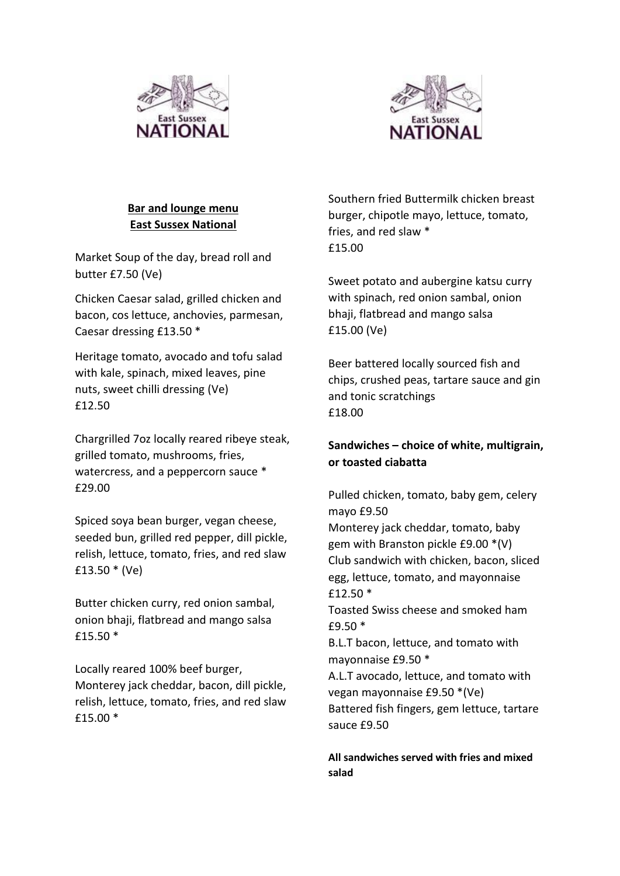



# **Bar and lounge menu East Sussex National**

Market Soup of the day, bread roll and butter £7.50 (Ve)

Chicken Caesar salad, grilled chicken and bacon, cos lettuce, anchovies, parmesan, Caesar dressing £13.50 \*

Heritage tomato, avocado and tofu salad with kale, spinach, mixed leaves, pine nuts, sweet chilli dressing (Ve) £12.50

Chargrilled 7oz locally reared ribeye steak, grilled tomato, mushrooms, fries, watercress, and a peppercorn sauce \* £29.00

Spiced soya bean burger, vegan cheese, seeded bun, grilled red pepper, dill pickle, relish, lettuce, tomato, fries, and red slaw £13.50 \* (Ve)

Butter chicken curry, red onion sambal, onion bhaji, flatbread and mango salsa £15.50 \*

Locally reared 100% beef burger, Monterey jack cheddar, bacon, dill pickle, relish, lettuce, tomato, fries, and red slaw £15.00 \*

Southern fried Buttermilk chicken breast burger, chipotle mayo, lettuce, tomato, fries, and red slaw \* £15.00

Sweet potato and aubergine katsu curry with spinach, red onion sambal, onion bhaji, flatbread and mango salsa £15.00 (Ve)

Beer battered locally sourced fish and chips, crushed peas, tartare sauce and gin and tonic scratchings £18.00

# **Sandwiches – choice of white, multigrain, or toasted ciabatta**

Pulled chicken, tomato, baby gem, celery mayo £9.50

Monterey jack cheddar, tomato, baby gem with Branston pickle £9.00 \*(V) Club sandwich with chicken, bacon, sliced egg, lettuce, tomato, and mayonnaise £12.50 \*

Toasted Swiss cheese and smoked ham £9.50 \*

B.L.T bacon, lettuce, and tomato with mayonnaise £9.50 \*

A.L.T avocado, lettuce, and tomato with vegan mayonnaise £9.50 \*(Ve) Battered fish fingers, gem lettuce, tartare sauce £9.50

**All sandwiches served with fries and mixed salad**